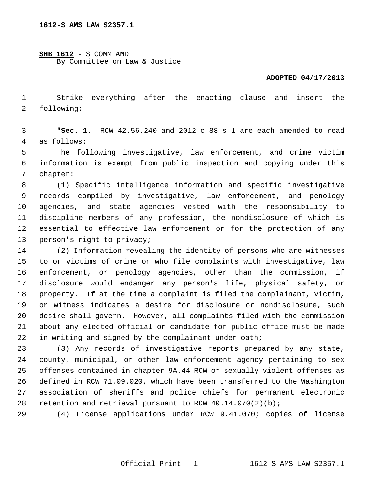**SHB 1612** - S COMM AMD By Committee on Law & Justice

## **ADOPTED 04/17/2013**

 1 Strike everything after the enacting clause and insert the 2 following:

 3 "**Sec. 1.** RCW 42.56.240 and 2012 c 88 s 1 are each amended to read 4 as follows:

 5 The following investigative, law enforcement, and crime victim 6 information is exempt from public inspection and copying under this 7 chapter:

 8 (1) Specific intelligence information and specific investigative 9 records compiled by investigative, law enforcement, and penology 10 agencies, and state agencies vested with the responsibility to 11 discipline members of any profession, the nondisclosure of which is 12 essential to effective law enforcement or for the protection of any 13 person's right to privacy;

14 (2) Information revealing the identity of persons who are witnesses 15 to or victims of crime or who file complaints with investigative, law 16 enforcement, or penology agencies, other than the commission, if 17 disclosure would endanger any person's life, physical safety, or 18 property. If at the time a complaint is filed the complainant, victim, 19 or witness indicates a desire for disclosure or nondisclosure, such 20 desire shall govern. However, all complaints filed with the commission 21 about any elected official or candidate for public office must be made 22 in writing and signed by the complainant under oath;

23 (3) Any records of investigative reports prepared by any state, 24 county, municipal, or other law enforcement agency pertaining to sex 25 offenses contained in chapter 9A.44 RCW or sexually violent offenses as 26 defined in RCW 71.09.020, which have been transferred to the Washington 27 association of sheriffs and police chiefs for permanent electronic 28 retention and retrieval pursuant to RCW  $40.14.070(2)(b)$ ;

29 (4) License applications under RCW 9.41.070; copies of license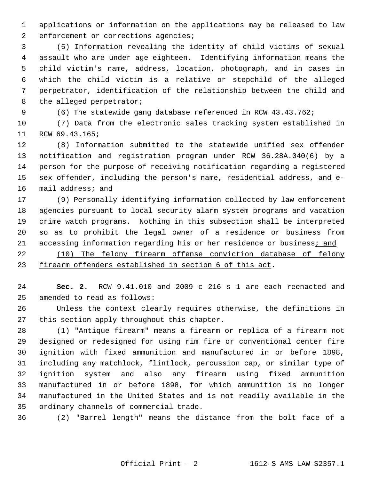1 applications or information on the applications may be released to law 2 enforcement or corrections agencies;

 3 (5) Information revealing the identity of child victims of sexual 4 assault who are under age eighteen. Identifying information means the 5 child victim's name, address, location, photograph, and in cases in 6 which the child victim is a relative or stepchild of the alleged 7 perpetrator, identification of the relationship between the child and 8 the alleged perpetrator;

9 (6) The statewide gang database referenced in RCW 43.43.762;

10 (7) Data from the electronic sales tracking system established in 11 RCW 69.43.165;

12 (8) Information submitted to the statewide unified sex offender 13 notification and registration program under RCW 36.28A.040(6) by a 14 person for the purpose of receiving notification regarding a registered 15 sex offender, including the person's name, residential address, and e-16 mail address; and

17 (9) Personally identifying information collected by law enforcement 18 agencies pursuant to local security alarm system programs and vacation 19 crime watch programs. Nothing in this subsection shall be interpreted 20 so as to prohibit the legal owner of a residence or business from 21 accessing information regarding his or her residence or business; and

22 (10) The felony firearm offense conviction database of felony 23 firearm offenders established in section 6 of this act.

24 **Sec. 2.** RCW 9.41.010 and 2009 c 216 s 1 are each reenacted and 25 amended to read as follows:

26 Unless the context clearly requires otherwise, the definitions in 27 this section apply throughout this chapter.

28 (1) "Antique firearm" means a firearm or replica of a firearm not 29 designed or redesigned for using rim fire or conventional center fire 30 ignition with fixed ammunition and manufactured in or before 1898, 31 including any matchlock, flintlock, percussion cap, or similar type of 32 ignition system and also any firearm using fixed ammunition 33 manufactured in or before 1898, for which ammunition is no longer 34 manufactured in the United States and is not readily available in the 35 ordinary channels of commercial trade.

36 (2) "Barrel length" means the distance from the bolt face of a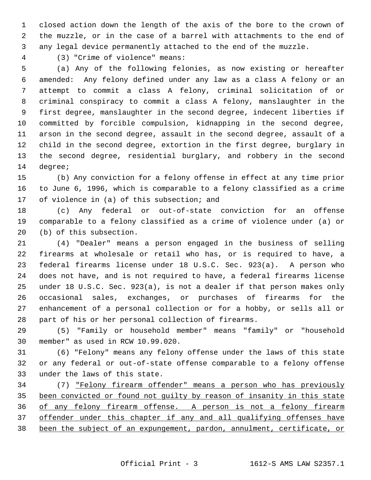1 closed action down the length of the axis of the bore to the crown of 2 the muzzle, or in the case of a barrel with attachments to the end of 3 any legal device permanently attached to the end of the muzzle.

4 (3) "Crime of violence" means:

 5 (a) Any of the following felonies, as now existing or hereafter 6 amended: Any felony defined under any law as a class A felony or an 7 attempt to commit a class A felony, criminal solicitation of or 8 criminal conspiracy to commit a class A felony, manslaughter in the 9 first degree, manslaughter in the second degree, indecent liberties if 10 committed by forcible compulsion, kidnapping in the second degree, 11 arson in the second degree, assault in the second degree, assault of a 12 child in the second degree, extortion in the first degree, burglary in 13 the second degree, residential burglary, and robbery in the second 14 degree;

15 (b) Any conviction for a felony offense in effect at any time prior 16 to June 6, 1996, which is comparable to a felony classified as a crime 17 of violence in (a) of this subsection; and

18 (c) Any federal or out-of-state conviction for an offense 19 comparable to a felony classified as a crime of violence under (a) or 20 (b) of this subsection.

21 (4) "Dealer" means a person engaged in the business of selling 22 firearms at wholesale or retail who has, or is required to have, a 23 federal firearms license under 18 U.S.C. Sec. 923(a). A person who 24 does not have, and is not required to have, a federal firearms license 25 under 18 U.S.C. Sec. 923(a), is not a dealer if that person makes only 26 occasional sales, exchanges, or purchases of firearms for the 27 enhancement of a personal collection or for a hobby, or sells all or 28 part of his or her personal collection of firearms.

29 (5) "Family or household member" means "family" or "household 30 member" as used in RCW 10.99.020.

31 (6) "Felony" means any felony offense under the laws of this state 32 or any federal or out-of-state offense comparable to a felony offense 33 under the laws of this state.

34 (7) "Felony firearm offender" means a person who has previously been convicted or found not guilty by reason of insanity in this state of any felony firearm offense. A person is not a felony firearm offender under this chapter if any and all qualifying offenses have been the subject of an expungement, pardon, annulment, certificate, or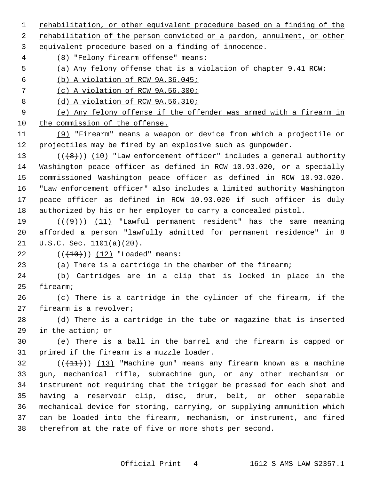1 rehabilitation, or other equivalent procedure based on a finding of the

2 rehabilitation of the person convicted or a pardon, annulment, or other

3 equivalent procedure based on a finding of innocence.

4 (8) "Felony firearm offense" means:

5 (a) Any felony offense that is a violation of chapter 9.41 RCW;

6 (b) A violation of RCW 9A.36.045;

7 (c) A violation of RCW 9A.56.300;

8 (d) A violation of RCW 9A.56.310;

 9 (e) Any felony offense if the offender was armed with a firearm in 10 the commission of the offense.

11 (9) "Firearm" means a weapon or device from which a projectile or 12 projectiles may be fired by an explosive such as gunpowder.

13  $((+8))$  (10) "Law enforcement officer" includes a general authority 14 Washington peace officer as defined in RCW 10.93.020, or a specially 15 commissioned Washington peace officer as defined in RCW 10.93.020. 16 "Law enforcement officer" also includes a limited authority Washington 17 peace officer as defined in RCW 10.93.020 if such officer is duly 18 authorized by his or her employer to carry a concealed pistol.

19  $((+9))$  (11) "Lawful permanent resident" has the same meaning 20 afforded a person "lawfully admitted for permanent residence" in 8 21 U.S.C. Sec. 1101(a)(20).

22  $((+10))$   $(12)$  "Loaded" means:

23 (a) There is a cartridge in the chamber of the firearm;

24 (b) Cartridges are in a clip that is locked in place in the 25 firearm;

26 (c) There is a cartridge in the cylinder of the firearm, if the 27 firearm is a revolver;

28 (d) There is a cartridge in the tube or magazine that is inserted 29 in the action; or

30 (e) There is a ball in the barrel and the firearm is capped or 31 primed if the firearm is a muzzle loader.

 $32$  (( $(11)$ )) (13) "Machine gun" means any firearm known as a machine 33 gun, mechanical rifle, submachine gun, or any other mechanism or 34 instrument not requiring that the trigger be pressed for each shot and 35 having a reservoir clip, disc, drum, belt, or other separable 36 mechanical device for storing, carrying, or supplying ammunition which 37 can be loaded into the firearm, mechanism, or instrument, and fired 38 therefrom at the rate of five or more shots per second.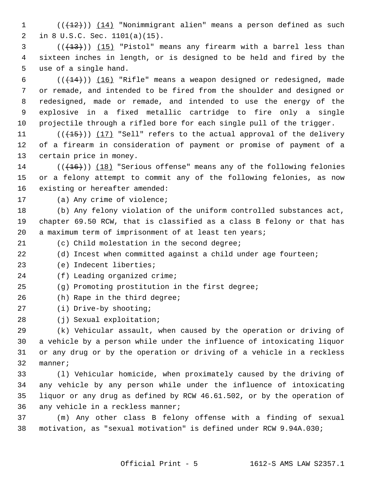1 (( $(12)$ )) (14) "Nonimmigrant alien" means a person defined as such 2 in 8 U.S.C. Sec. 1101(a)(15).

 $(1,13)$  (( $(1,13)$ ) (15) "Pistol" means any firearm with a barrel less than 4 sixteen inches in length, or is designed to be held and fired by the 5 use of a single hand.

6  $((+14))$   $(16)$  "Rifle" means a weapon designed or redesigned, made 7 or remade, and intended to be fired from the shoulder and designed or 8 redesigned, made or remade, and intended to use the energy of the 9 explosive in a fixed metallic cartridge to fire only a single 10 projectile through a rifled bore for each single pull of the trigger.

11  $((+15))$  (17) "Sell" refers to the actual approval of the delivery 12 of a firearm in consideration of payment or promise of payment of a 13 certain price in money.

14  $((+16))$  (18) "Serious offense" means any of the following felonies 15 or a felony attempt to commit any of the following felonies, as now 16 existing or hereafter amended:

17 (a) Any crime of violence;

18 (b) Any felony violation of the uniform controlled substances act, 19 chapter 69.50 RCW, that is classified as a class B felony or that has 20 a maximum term of imprisonment of at least ten years;

21 (c) Child molestation in the second degree;

22 (d) Incest when committed against a child under age fourteen;

23 (e) Indecent liberties;

24 (f) Leading organized crime;

25 (g) Promoting prostitution in the first degree;

26 (h) Rape in the third degree;

27 (i) Drive-by shooting;

28 (j) Sexual exploitation;

29 (k) Vehicular assault, when caused by the operation or driving of 30 a vehicle by a person while under the influence of intoxicating liquor 31 or any drug or by the operation or driving of a vehicle in a reckless 32 manner;

33 (l) Vehicular homicide, when proximately caused by the driving of 34 any vehicle by any person while under the influence of intoxicating 35 liquor or any drug as defined by RCW 46.61.502, or by the operation of 36 any vehicle in a reckless manner;

37 (m) Any other class B felony offense with a finding of sexual 38 motivation, as "sexual motivation" is defined under RCW 9.94A.030;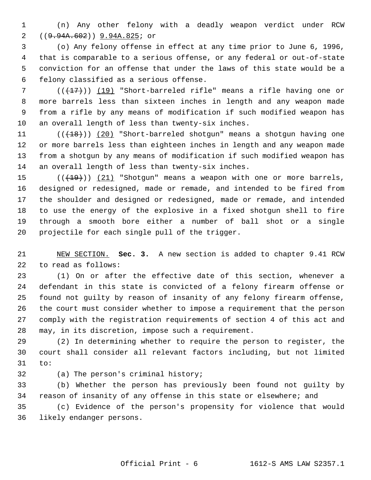1 (n) Any other felony with a deadly weapon verdict under RCW 2 ((<del>9.94A.602</del>)) 9.94A.825; or

 3 (o) Any felony offense in effect at any time prior to June 6, 1996, 4 that is comparable to a serious offense, or any federal or out-of-state 5 conviction for an offense that under the laws of this state would be a 6 felony classified as a serious offense.

 $7$  ( $(\frac{17}{17})$ ) (19) "Short-barreled rifle" means a rifle having one or 8 more barrels less than sixteen inches in length and any weapon made 9 from a rifle by any means of modification if such modified weapon has 10 an overall length of less than twenty-six inches.

11 (( $(18)$ ) (20) "Short-barreled shotgun" means a shotgun having one 12 or more barrels less than eighteen inches in length and any weapon made 13 from a shotgun by any means of modification if such modified weapon has 14 an overall length of less than twenty-six inches.

15  $((+19))$   $(21)$  "Shotgun" means a weapon with one or more barrels, 16 designed or redesigned, made or remade, and intended to be fired from 17 the shoulder and designed or redesigned, made or remade, and intended 18 to use the energy of the explosive in a fixed shotgun shell to fire 19 through a smooth bore either a number of ball shot or a single 20 projectile for each single pull of the trigger.

21 NEW SECTION. **Sec. 3.** A new section is added to chapter 9.41 RCW 22 to read as follows:

23 (1) On or after the effective date of this section, whenever a 24 defendant in this state is convicted of a felony firearm offense or 25 found not guilty by reason of insanity of any felony firearm offense, 26 the court must consider whether to impose a requirement that the person 27 comply with the registration requirements of section 4 of this act and 28 may, in its discretion, impose such a requirement.

29 (2) In determining whether to require the person to register, the 30 court shall consider all relevant factors including, but not limited 31 to:

32 (a) The person's criminal history;

33 (b) Whether the person has previously been found not guilty by 34 reason of insanity of any offense in this state or elsewhere; and

35 (c) Evidence of the person's propensity for violence that would 36 likely endanger persons.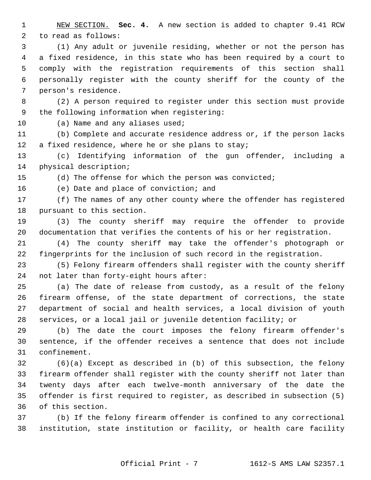1 NEW SECTION. **Sec. 4.** A new section is added to chapter 9.41 RCW 2 to read as follows:

 3 (1) Any adult or juvenile residing, whether or not the person has 4 a fixed residence, in this state who has been required by a court to 5 comply with the registration requirements of this section shall 6 personally register with the county sheriff for the county of the 7 person's residence.

 8 (2) A person required to register under this section must provide 9 the following information when registering:

10 (a) Name and any aliases used;

11 (b) Complete and accurate residence address or, if the person lacks 12 a fixed residence, where he or she plans to stay;

13 (c) Identifying information of the gun offender, including a 14 physical description;

15 (d) The offense for which the person was convicted;

16 (e) Date and place of conviction; and

17 (f) The names of any other county where the offender has registered 18 pursuant to this section.

19 (3) The county sheriff may require the offender to provide 20 documentation that verifies the contents of his or her registration.

21 (4) The county sheriff may take the offender's photograph or 22 fingerprints for the inclusion of such record in the registration.

23 (5) Felony firearm offenders shall register with the county sheriff 24 not later than forty-eight hours after:

25 (a) The date of release from custody, as a result of the felony 26 firearm offense, of the state department of corrections, the state 27 department of social and health services, a local division of youth 28 services, or a local jail or juvenile detention facility; or

29 (b) The date the court imposes the felony firearm offender's 30 sentence, if the offender receives a sentence that does not include 31 confinement.

32 (6)(a) Except as described in (b) of this subsection, the felony 33 firearm offender shall register with the county sheriff not later than 34 twenty days after each twelve-month anniversary of the date the 35 offender is first required to register, as described in subsection (5) 36 of this section.

37 (b) If the felony firearm offender is confined to any correctional 38 institution, state institution or facility, or health care facility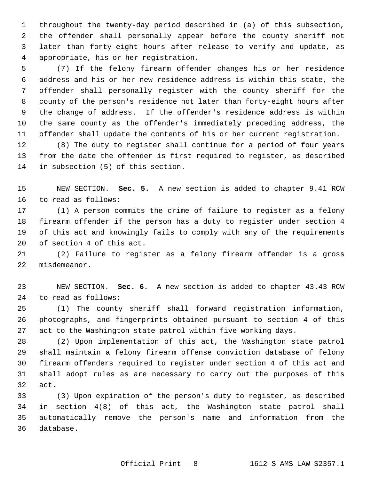1 throughout the twenty-day period described in (a) of this subsection, 2 the offender shall personally appear before the county sheriff not 3 later than forty-eight hours after release to verify and update, as 4 appropriate, his or her registration.

 5 (7) If the felony firearm offender changes his or her residence 6 address and his or her new residence address is within this state, the 7 offender shall personally register with the county sheriff for the 8 county of the person's residence not later than forty-eight hours after 9 the change of address. If the offender's residence address is within 10 the same county as the offender's immediately preceding address, the 11 offender shall update the contents of his or her current registration.

12 (8) The duty to register shall continue for a period of four years 13 from the date the offender is first required to register, as described 14 in subsection (5) of this section.

15 NEW SECTION. **Sec. 5.** A new section is added to chapter 9.41 RCW 16 to read as follows:

17 (1) A person commits the crime of failure to register as a felony 18 firearm offender if the person has a duty to register under section 4 19 of this act and knowingly fails to comply with any of the requirements 20 of section 4 of this act.

21 (2) Failure to register as a felony firearm offender is a gross 22 misdemeanor.

23 NEW SECTION. **Sec. 6.** A new section is added to chapter 43.43 RCW 24 to read as follows:

25 (1) The county sheriff shall forward registration information, 26 photographs, and fingerprints obtained pursuant to section 4 of this 27 act to the Washington state patrol within five working days.

28 (2) Upon implementation of this act, the Washington state patrol 29 shall maintain a felony firearm offense conviction database of felony 30 firearm offenders required to register under section 4 of this act and 31 shall adopt rules as are necessary to carry out the purposes of this 32 act.

33 (3) Upon expiration of the person's duty to register, as described 34 in section 4(8) of this act, the Washington state patrol shall 35 automatically remove the person's name and information from the 36 database.